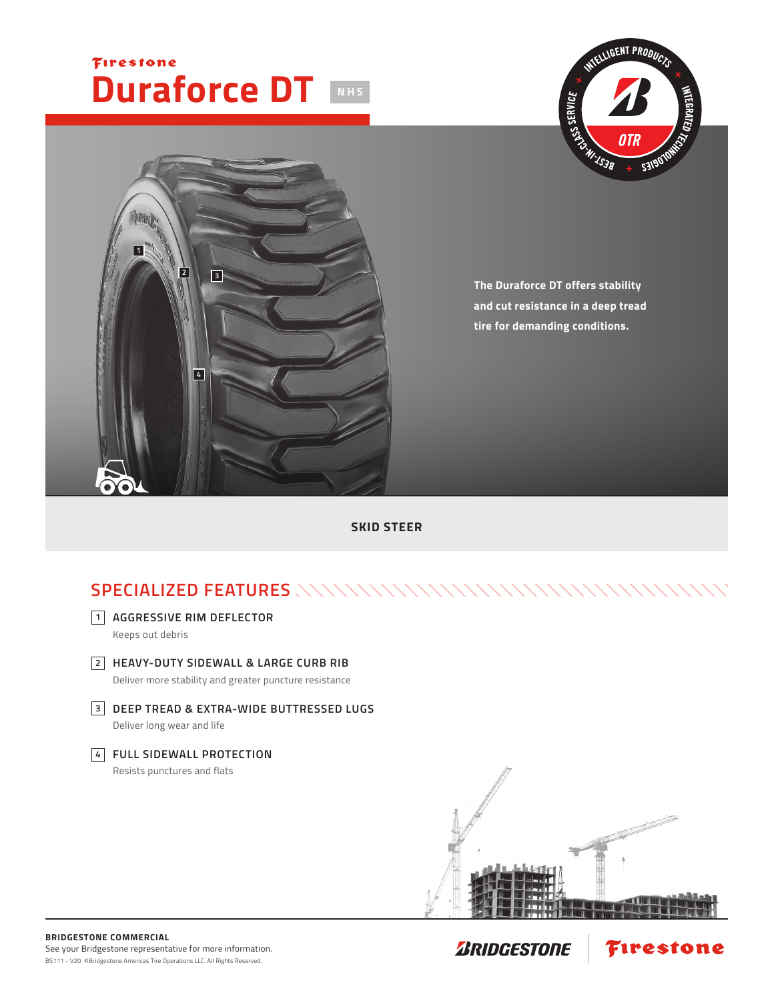## Firestone **Duraforce DT NHS**





**The Duraforce DT offers stability and cut resistance in a deep tread tire for demanding conditions.**

**SKID STEER**

## **SPECIALIZED FEATURES**



Keeps out debris

**HEAVY-DUTY SIDEWALL & LARGE CURB RIB 2**

Deliver more stability and greater puncture resistance

**DEEP TREAD & EXTRA-WIDE BUTTRESSED LUGS 3** Deliver long wear and life

## **FULL SIDEWALL PROTECTION 4** Resists punctures and flats





Firestone

**ZRIDGESTONE**